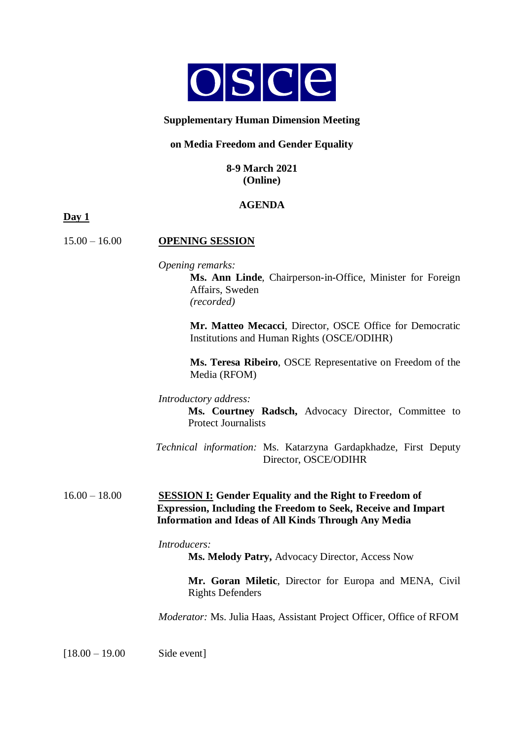

## **Supplementary Human Dimension Meeting**

#### **on Media Freedom and Gender Equality**

#### **8-9 March 2021 (Online)**

## **AGENDA**

**Day 1**

## 15.00 – 16.00 **OPENING SESSION**

*Opening remarks:*

**Ms. Ann Linde**, Chairperson-in-Office, Minister for Foreign Affairs, Sweden *(recorded)*

**Mr. Matteo Mecacci**, Director, OSCE Office for Democratic Institutions and Human Rights (OSCE/ODIHR)

**Ms. Teresa Ribeiro**, OSCE Representative on Freedom of the Media (RFOM)

*Introductory address:*

**Ms. Courtney Radsch,** Advocacy Director, Committee to Protect Journalists

 *Technical information:* Ms. Katarzyna Gardapkhadze, First Deputy Director, OSCE/ODIHR

## 16.00 – 18.00 **SESSION I: Gender Equality and the Right to Freedom of Expression, Including the Freedom to Seek, Receive and Impart Information and Ideas of All Kinds Through Any Media**

*Introducers:*

**Ms. Melody Patry,** Advocacy Director, Access Now

**Mr. Goran Miletic**, Director for Europa and MENA, Civil Rights Defenders

*Moderator:* Ms. Julia Haas, Assistant Project Officer, Office of RFOM

[18.00 – 19.00 Side event]